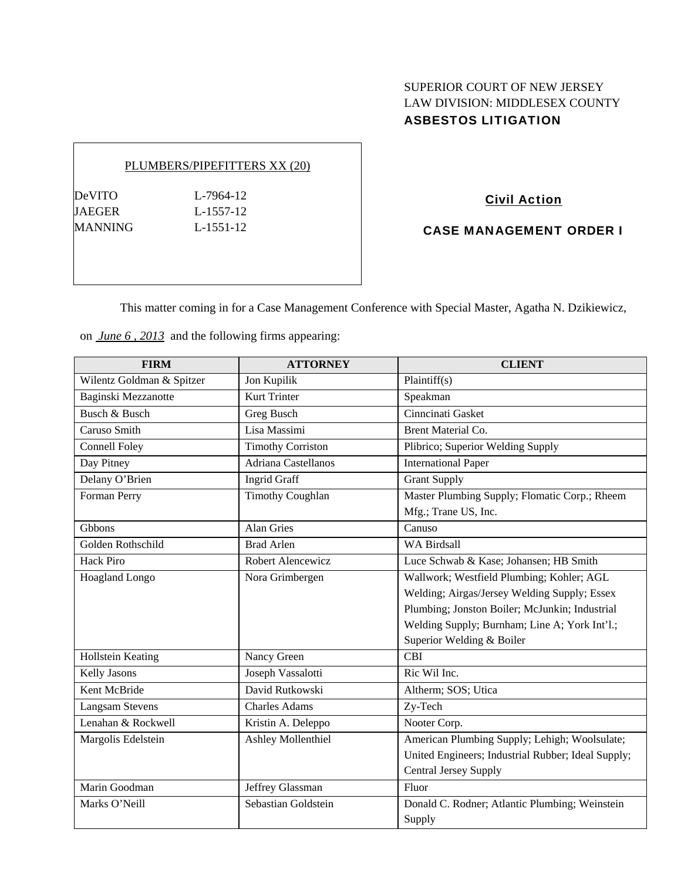# SUPERIOR COURT OF NEW JERSEY LAW DIVISION: MIDDLESEX COUNTY ASBESTOS LITIGATION

### PLUMBERS/PIPEFITTERS XX (20)

DeVITO L-7964-12 JAEGER L-1557-12 MANNING L-1551-12

# Civil Action

CASE MANAGEMENT ORDER I

This matter coming in for a Case Management Conference with Special Master, Agatha N. Dzikiewicz,

on *June 6 , 2013* and the following firms appearing:

| <b>FIRM</b>               | <b>ATTORNEY</b>          | <b>CLIENT</b>                                      |
|---------------------------|--------------------------|----------------------------------------------------|
| Wilentz Goldman & Spitzer | Jon Kupilik              | Plaintiff(s)                                       |
| Baginski Mezzanotte       | <b>Kurt Trinter</b>      | Speakman                                           |
| Busch & Busch             | Greg Busch               | Cinncinati Gasket                                  |
| Caruso Smith              | Lisa Massimi             | <b>Brent Material Co.</b>                          |
| <b>Connell Foley</b>      | <b>Timothy Corriston</b> | Plibrico; Superior Welding Supply                  |
| Day Pitney                | Adriana Castellanos      | <b>International Paper</b>                         |
| Delany O'Brien            | <b>Ingrid Graff</b>      | <b>Grant Supply</b>                                |
| Forman Perry              | <b>Timothy Coughlan</b>  | Master Plumbing Supply; Flomatic Corp.; Rheem      |
|                           |                          | Mfg.; Trane US, Inc.                               |
| Gbbons                    | <b>Alan Gries</b>        | Canuso                                             |
| Golden Rothschild         | <b>Brad Arlen</b>        | <b>WA Birdsall</b>                                 |
| <b>Hack Piro</b>          | Robert Alencewicz        | Luce Schwab & Kase; Johansen; HB Smith             |
| Hoagland Longo            | Nora Grimbergen          | Wallwork; Westfield Plumbing; Kohler; AGL          |
|                           |                          | Welding; Airgas/Jersey Welding Supply; Essex       |
|                           |                          | Plumbing; Jonston Boiler; McJunkin; Industrial     |
|                           |                          | Welding Supply; Burnham; Line A; York Int'l.;      |
|                           |                          | Superior Welding & Boiler                          |
| Hollstein Keating         | Nancy Green              | <b>CBI</b>                                         |
| Kelly Jasons              | Joseph Vassalotti        | Ric Wil Inc.                                       |
| Kent McBride              | David Rutkowski          | Altherm; SOS; Utica                                |
| <b>Langsam Stevens</b>    | <b>Charles Adams</b>     | Zy-Tech                                            |
| Lenahan & Rockwell        | Kristin A. Deleppo       | Nooter Corp.                                       |
| Margolis Edelstein        | Ashley Mollenthiel       | American Plumbing Supply; Lehigh; Woolsulate;      |
|                           |                          | United Engineers; Industrial Rubber; Ideal Supply; |
|                           |                          | <b>Central Jersey Supply</b>                       |
| Marin Goodman             | Jeffrey Glassman         | Fluor                                              |
| Marks O'Neill             | Sebastian Goldstein      | Donald C. Rodner; Atlantic Plumbing; Weinstein     |
|                           |                          | Supply                                             |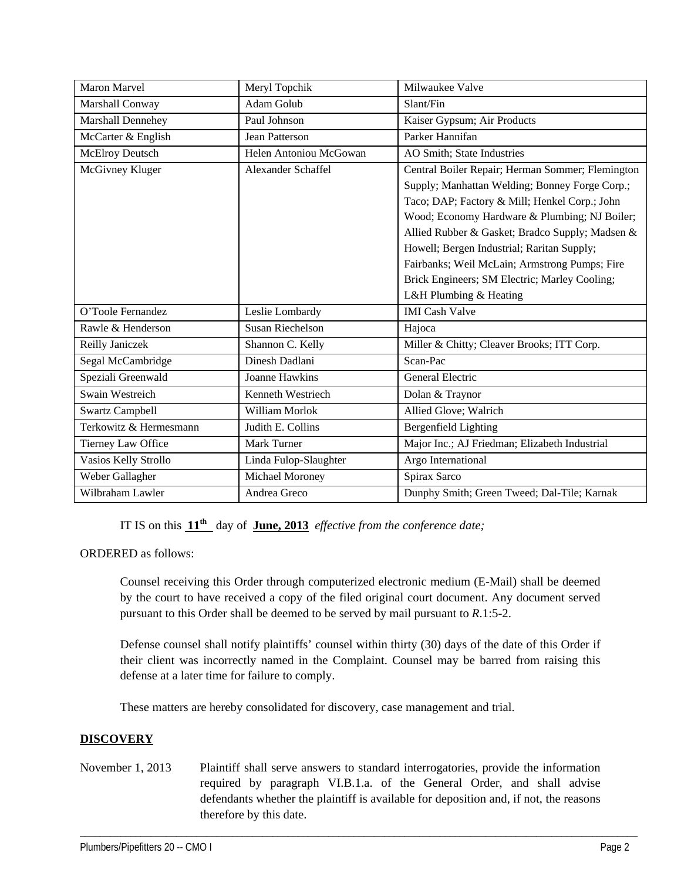| Maron Marvel           | Meryl Topchik           | Milwaukee Valve                                  |
|------------------------|-------------------------|--------------------------------------------------|
| Marshall Conway        | <b>Adam Golub</b>       | Slant/Fin                                        |
| Marshall Dennehey      | Paul Johnson            | Kaiser Gypsum; Air Products                      |
| McCarter & English     | <b>Jean Patterson</b>   | Parker Hannifan                                  |
| McElroy Deutsch        | Helen Antoniou McGowan  | AO Smith; State Industries                       |
| McGivney Kluger        | Alexander Schaffel      | Central Boiler Repair; Herman Sommer; Flemington |
|                        |                         | Supply; Manhattan Welding; Bonney Forge Corp.;   |
|                        |                         | Taco; DAP; Factory & Mill; Henkel Corp.; John    |
|                        |                         | Wood; Economy Hardware & Plumbing; NJ Boiler;    |
|                        |                         | Allied Rubber & Gasket; Bradco Supply; Madsen &  |
|                        |                         | Howell; Bergen Industrial; Raritan Supply;       |
|                        |                         | Fairbanks; Weil McLain; Armstrong Pumps; Fire    |
|                        |                         | Brick Engineers; SM Electric; Marley Cooling;    |
|                        |                         | L&H Plumbing & Heating                           |
| O'Toole Fernandez      | Leslie Lombardy         | <b>IMI</b> Cash Valve                            |
| Rawle & Henderson      | <b>Susan Riechelson</b> | Hajoca                                           |
| Reilly Janiczek        | Shannon C. Kelly        | Miller & Chitty; Cleaver Brooks; ITT Corp.       |
| Segal McCambridge      | Dinesh Dadlani          | Scan-Pac                                         |
| Speziali Greenwald     | <b>Joanne Hawkins</b>   | <b>General Electric</b>                          |
| Swain Westreich        | Kenneth Westriech       | Dolan & Traynor                                  |
| <b>Swartz Campbell</b> | William Morlok          | Allied Glove; Walrich                            |
| Terkowitz & Hermesmann | Judith E. Collins       | <b>Bergenfield Lighting</b>                      |
| Tierney Law Office     | Mark Turner             | Major Inc.; AJ Friedman; Elizabeth Industrial    |
| Vasios Kelly Strollo   | Linda Fulop-Slaughter   | Argo International                               |
| Weber Gallagher        | Michael Moroney         | Spirax Sarco                                     |
| Wilbraham Lawler       | Andrea Greco            | Dunphy Smith; Green Tweed; Dal-Tile; Karnak      |

IT IS on this  $11^{th}$  day of June, 2013 *effective from the conference date;* 

ORDERED as follows:

Counsel receiving this Order through computerized electronic medium (E-Mail) shall be deemed by the court to have received a copy of the filed original court document. Any document served pursuant to this Order shall be deemed to be served by mail pursuant to *R*.1:5-2.

Defense counsel shall notify plaintiffs' counsel within thirty (30) days of the date of this Order if their client was incorrectly named in the Complaint. Counsel may be barred from raising this defense at a later time for failure to comply.

These matters are hereby consolidated for discovery, case management and trial.

### **DISCOVERY**

November 1, 2013 Plaintiff shall serve answers to standard interrogatories, provide the information required by paragraph VI.B.1.a. of the General Order, and shall advise defendants whether the plaintiff is available for deposition and, if not, the reasons therefore by this date.

\_\_\_\_\_\_\_\_\_\_\_\_\_\_\_\_\_\_\_\_\_\_\_\_\_\_\_\_\_\_\_\_\_\_\_\_\_\_\_\_\_\_\_\_\_\_\_\_\_\_\_\_\_\_\_\_\_\_\_\_\_\_\_\_\_\_\_\_\_\_\_\_\_\_\_\_\_\_\_\_\_\_\_\_\_\_\_\_\_\_\_\_\_\_\_\_\_\_\_\_\_\_\_\_\_\_\_\_\_\_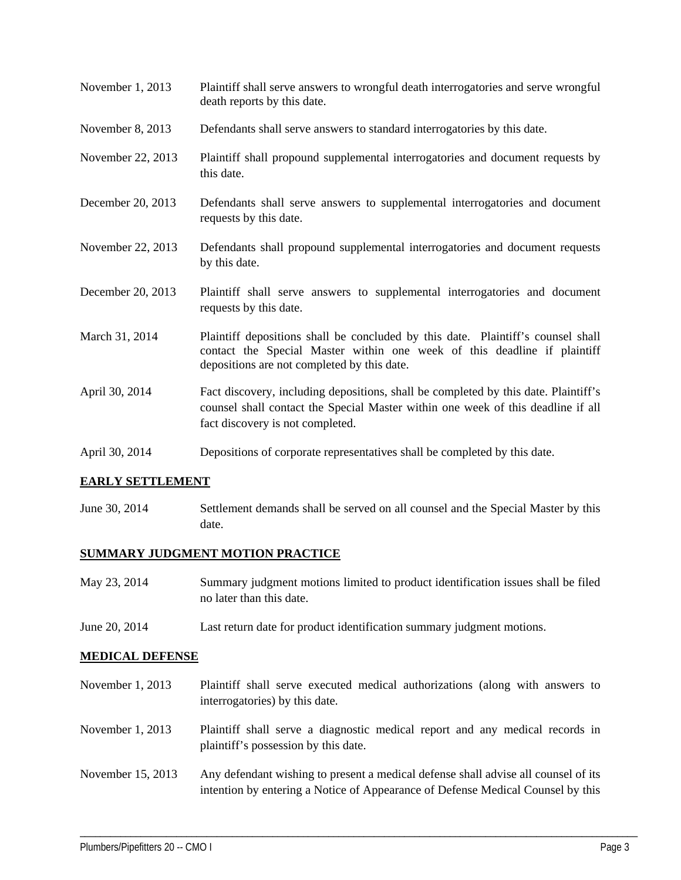- November 1, 2013 Plaintiff shall serve answers to wrongful death interrogatories and serve wrongful death reports by this date.
- November 8, 2013 Defendants shall serve answers to standard interrogatories by this date.
- November 22, 2013 Plaintiff shall propound supplemental interrogatories and document requests by this date.
- December 20, 2013 Defendants shall serve answers to supplemental interrogatories and document requests by this date.
- November 22, 2013 Defendants shall propound supplemental interrogatories and document requests by this date.
- December 20, 2013 Plaintiff shall serve answers to supplemental interrogatories and document requests by this date.
- March 31, 2014 Plaintiff depositions shall be concluded by this date. Plaintiff's counsel shall contact the Special Master within one week of this deadline if plaintiff depositions are not completed by this date.
- April 30, 2014 Fact discovery, including depositions, shall be completed by this date. Plaintiff's counsel shall contact the Special Master within one week of this deadline if all fact discovery is not completed.
- April 30, 2014 Depositions of corporate representatives shall be completed by this date.

#### **EARLY SETTLEMENT**

June 30, 2014 Settlement demands shall be served on all counsel and the Special Master by this date.

#### **SUMMARY JUDGMENT MOTION PRACTICE**

- May 23, 2014 Summary judgment motions limited to product identification issues shall be filed no later than this date.
- June 20, 2014 Last return date for product identification summary judgment motions.

#### **MEDICAL DEFENSE**

- November 1, 2013 Plaintiff shall serve executed medical authorizations (along with answers to interrogatories) by this date.
- November 1, 2013 Plaintiff shall serve a diagnostic medical report and any medical records in plaintiff's possession by this date.
- November 15, 2013 Any defendant wishing to present a medical defense shall advise all counsel of its intention by entering a Notice of Appearance of Defense Medical Counsel by this

\_\_\_\_\_\_\_\_\_\_\_\_\_\_\_\_\_\_\_\_\_\_\_\_\_\_\_\_\_\_\_\_\_\_\_\_\_\_\_\_\_\_\_\_\_\_\_\_\_\_\_\_\_\_\_\_\_\_\_\_\_\_\_\_\_\_\_\_\_\_\_\_\_\_\_\_\_\_\_\_\_\_\_\_\_\_\_\_\_\_\_\_\_\_\_\_\_\_\_\_\_\_\_\_\_\_\_\_\_\_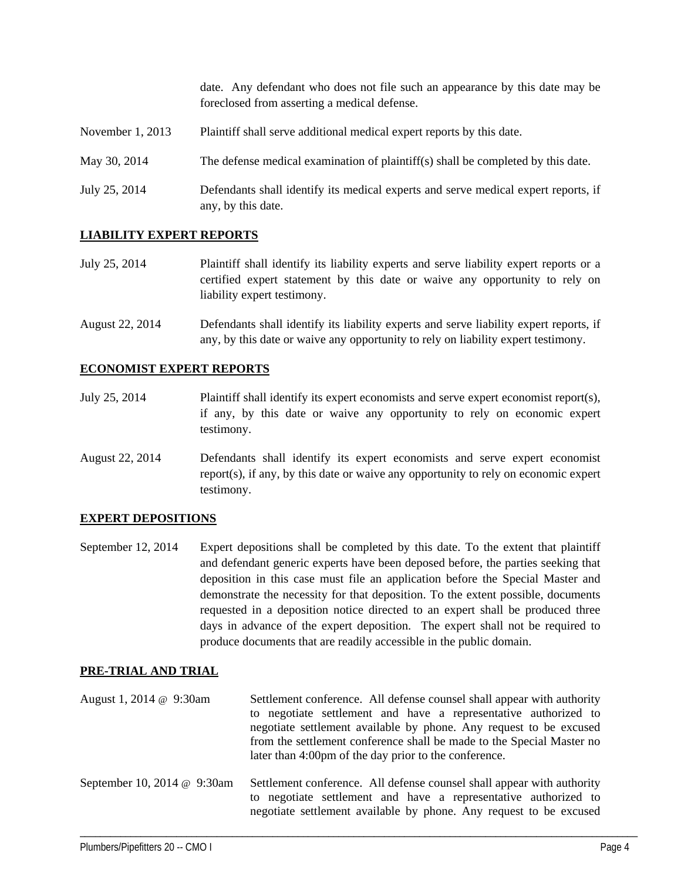date. Any defendant who does not file such an appearance by this date may be foreclosed from asserting a medical defense.

- November 1, 2013 Plaintiff shall serve additional medical expert reports by this date.
- May 30, 2014 The defense medical examination of plaintiff(s) shall be completed by this date.
- July 25, 2014 Defendants shall identify its medical experts and serve medical expert reports, if any, by this date.

#### **LIABILITY EXPERT REPORTS**

- July 25, 2014 Plaintiff shall identify its liability experts and serve liability expert reports or a certified expert statement by this date or waive any opportunity to rely on liability expert testimony.
- August 22, 2014 Defendants shall identify its liability experts and serve liability expert reports, if any, by this date or waive any opportunity to rely on liability expert testimony.

#### **ECONOMIST EXPERT REPORTS**

- July 25, 2014 Plaintiff shall identify its expert economists and serve expert economist report(s), if any, by this date or waive any opportunity to rely on economic expert testimony.
- August 22, 2014 Defendants shall identify its expert economists and serve expert economist report(s), if any, by this date or waive any opportunity to rely on economic expert testimony.

#### **EXPERT DEPOSITIONS**

September 12, 2014 Expert depositions shall be completed by this date. To the extent that plaintiff and defendant generic experts have been deposed before, the parties seeking that deposition in this case must file an application before the Special Master and demonstrate the necessity for that deposition. To the extent possible, documents requested in a deposition notice directed to an expert shall be produced three days in advance of the expert deposition. The expert shall not be required to produce documents that are readily accessible in the public domain.

#### **PRE-TRIAL AND TRIAL**

August 1, 2014 @ 9:30am Settlement conference. All defense counsel shall appear with authority to negotiate settlement and have a representative authorized to negotiate settlement available by phone. Any request to be excused from the settlement conference shall be made to the Special Master no later than 4:00pm of the day prior to the conference. September 10, 2014 @ 9:30am Settlement conference. All defense counsel shall appear with authority to negotiate settlement and have a representative authorized to

\_\_\_\_\_\_\_\_\_\_\_\_\_\_\_\_\_\_\_\_\_\_\_\_\_\_\_\_\_\_\_\_\_\_\_\_\_\_\_\_\_\_\_\_\_\_\_\_\_\_\_\_\_\_\_\_\_\_\_\_\_\_\_\_\_\_\_\_\_\_\_\_\_\_\_\_\_\_\_\_\_\_\_\_\_\_\_\_\_\_\_\_\_\_\_\_\_\_\_\_\_\_\_\_\_\_\_\_\_\_

negotiate settlement available by phone. Any request to be excused